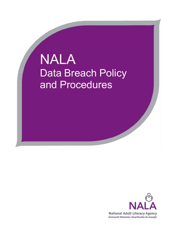# NALA Data Breach Policy and Procedures

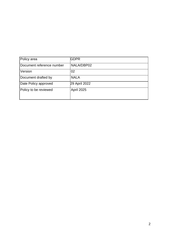| Policy area               | <b>GDPR</b>   |
|---------------------------|---------------|
| Document reference number | NALA/DBP02    |
| Version                   | 02            |
| Document drafted by       | <b>NALA</b>   |
| Date Policy approved      | 29 April 2022 |
| Policy to be reviewed     | April 2025    |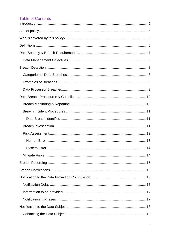## **Table of Contents**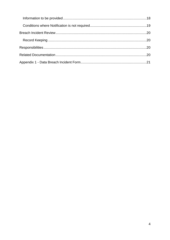<span id="page-3-0"></span>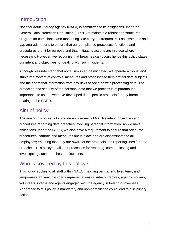# Introduction

National Adult Literacy Agency (NALA) is committed to its obligations under the General Data Protection Regulation (GDPR) to maintain a robust and structured program for compliance and monitoring. We carry out frequent risk assessments and gap analysis reports to ensure that our compliance processes, functions and procedures are fit for purpose and that mitigating actions are in place where necessary. However, we recognise that breaches can occur, hence this policy states our intent and objectives for dealing with such incidents.

Although we understand that not all risks can be mitigated, we operate a robust and structured system of controls, measures and processes to help protect data subjects and their personal information from any risks associated with processing data. The protection and security of the personal data that we process is of paramount importance to us and we have developed data specific protocols for any breaches relating to the GDPR.

# <span id="page-4-0"></span>Aim of policy

The aim of this policy is to provide an overview of NALA's intent, objectives and procedures regarding data breaches involving personal information. As we have obligations under the GDPR, we also have a requirement to ensure that adequate procedures, controls and measures are in place and are disseminated to all employees; ensuring that they are aware of the protocols and reporting lines for data breaches. This policy details our processes for reporting, communicating and investigating such breaches and incidents.

# <span id="page-4-1"></span>Who is covered by this policy?

This policy applies to all staff within NALA (meaning permanent, fixed term, and temporary staff, any third-party representatives or sub-contractors, agency workers, volunteers, interns and agents engaged with the agency in Ireland or overseas). Adherence to this policy is mandatory and non-compliance could lead to disciplinary action.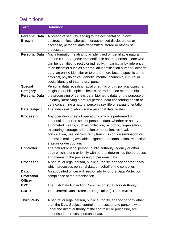# <span id="page-5-0"></span>**Definitions**

| <b>Term</b>          | <b>Definition</b>                                                                                                                           |  |  |
|----------------------|---------------------------------------------------------------------------------------------------------------------------------------------|--|--|
| <b>Personal Data</b> | A breach of security leading to the accidental or unlawful                                                                                  |  |  |
| <b>Breach</b>        | destruction, loss, alteration, unauthorised disclosure of, or                                                                               |  |  |
|                      | access to, personal data transmitted, stored or otherwise                                                                                   |  |  |
|                      | processed.                                                                                                                                  |  |  |
| <b>Personal Data</b> | Any information relating to an identified or identifiable natural                                                                           |  |  |
|                      | person (Data Subject); an identifiable natural person is one who                                                                            |  |  |
|                      | can be identified, directly or indirectly, in particular by reference                                                                       |  |  |
|                      | to an identifier such as a name, an identification number, location<br>data, an online identifier or to one or more factors specific to the |  |  |
|                      | physical, physiological, genetic, mental, economic, cultural or                                                                             |  |  |
|                      | social identity of that natural person.                                                                                                     |  |  |
| <b>Special</b>       | Personal data revealing racial or ethnic origin, political opinions,                                                                        |  |  |
| <b>Category</b>      | religious or philosophical beliefs, or trade union membership, and                                                                          |  |  |
| <b>Personal Data</b> | the processing of genetic data, biometric data for the purpose of                                                                           |  |  |
|                      | uniquely identifying a natural person, data concerning health or                                                                            |  |  |
|                      | data concerning a natural person's sex life or sexual orientation.                                                                          |  |  |
| <b>Data Subject</b>  | The individual to whom some personal data relates.                                                                                          |  |  |
| <b>Processing</b>    | Any operation or set of operations which is performed on                                                                                    |  |  |
|                      | personal data or on sets of personal data, whether or not by                                                                                |  |  |
|                      | automated means, such as collection, recording, organisation,                                                                               |  |  |
|                      | structuring, storage, adaptation or alteration, retrieval,                                                                                  |  |  |
|                      | consultation, use, disclosure by transmission, dissemination or                                                                             |  |  |
|                      | otherwise making available, alignment or combination, restriction,<br>erasure or destruction.                                               |  |  |
| <b>Controller</b>    | The natural or legal person, public authority, agency or other                                                                              |  |  |
|                      | body which, alone or jointly with others, determines the purposes                                                                           |  |  |
|                      | and means of the processing of personal data.                                                                                               |  |  |
| <b>Processor</b>     | A natural or legal person, public authority, agency or other body                                                                           |  |  |
|                      | which processes personal data on behalf of the controller.                                                                                  |  |  |
| <b>Data</b>          | An appointed officer with responsibility for the Data Protection                                                                            |  |  |
| <b>Protection</b>    | compliance of the organisation.                                                                                                             |  |  |
| <b>Officer</b>       |                                                                                                                                             |  |  |
| <b>DPC</b>           | The Irish Data Protection Commission, (Statutory Authority)                                                                                 |  |  |
| <b>GDPR</b>          | The General Data Protection Regulation (EU) 2016/679.                                                                                       |  |  |
| <b>Third Party</b>   | A natural or legal person, public authority, agency or body other                                                                           |  |  |
|                      | than the Data Subject, controller, processor and persons who,                                                                               |  |  |
|                      | under the direct authority of the controller or processor, are                                                                              |  |  |
|                      | authorised to process personal data.                                                                                                        |  |  |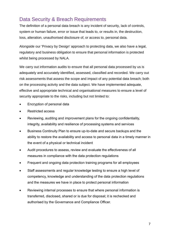# <span id="page-6-0"></span>Data Security & Breach Requirements

The definition of a personal data breach is any incident of security, lack of controls, system or human failure, error or issue that leads to, or results in, the destruction, loss, alteration, unauthorised disclosure of, or access to, personal data.

Alongside our 'Privacy by Design' approach to protecting data, we also have a legal, regulatory and business obligation to ensure that personal information is protected whilst being processed by NALA.

We carry out information audits to ensure that all personal data processed by us is adequately and accurately identified, assessed, classified and recorded. We carry out risk assessments that assess the scope and impact of any potential data breach; both on the processing activity and the data subject. We have implemented adequate, effective and appropriate technical and organisational measures to ensure a level of security appropriate to the risks, including but not limited to:

- Encryption of personal data
- Restricted access
- Reviewing, auditing and improvement plans for the ongoing confidentiality, integrity, availability and resilience of processing systems and services
- Business Continuity Plan to ensure up-to-date and secure backups and the ability to restore the availability and access to personal data in a timely manner in the event of a physical or technical incident
- Audit procedures to assess, review and evaluate the effectiveness of all measures in compliance with the data protection regulations
- Frequent and ongoing data protection training programs for all employees
- Staff assessments and regular knowledge testing to ensure a high level of competency, knowledge and understanding of the data protection regulations and the measures we have in place to protect personal information
- <span id="page-6-1"></span>• Reviewing internal processes to ensure that where personal information is transferred, disclosed, shared or is due for disposal; it is rechecked and authorised by the Governance and Compliance Officer.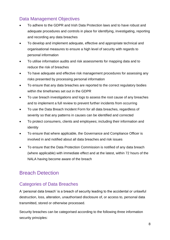# Data Management Objectives

- To adhere to the GDPR and Irish Data Protection laws and to have robust and adequate procedures and controls in place for identifying, investigating, reporting and recording any data breaches
- To develop and implement adequate, effective and appropriate technical and organisational measures to ensure a high level of security with regards to personal information
- To utilise information audits and risk assessments for mapping data and to reduce the risk of breaches
- To have adequate and effective risk management procedures for assessing any risks presented by processing personal information
- To ensure that any data breaches are reported to the correct regulatory bodies within the timeframes set out in the GDPR
- To use breach investigations and logs to assess the root cause of any breaches and to implement a full review to prevent further incidents from occurring
- To use the Data Breach Incident Form for all data breaches, regardless of severity so that any patterns in causes can be identified and corrected
- To protect consumers, clients and employees; including their information and identity
- To ensure that where applicable, the Governance and Compliance Officer is involved in and notified about all data breaches and risk issues
- To ensure that the Data Protection Commission is notified of any data breach (where applicable) with immediate effect and at the latest, within 72 hours of the NALA having become aware of the breach

# <span id="page-7-0"></span>Breach Detection

## <span id="page-7-1"></span>Categories of Data Breaches

A 'personal data breach' is a breach of security leading to the accidental or unlawful destruction, loss, alteration, unauthorised disclosure of, or access to, personal data transmitted, stored or otherwise processed.

Security breaches can be categorised according to the following three information security principles: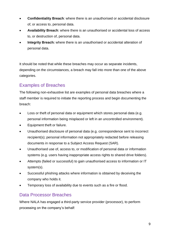- **Confidentiality Breach**: where there is an unauthorised or accidental disclosure of, or access to, personal data.
- **Availability Breach**: where there is an unauthorised or accidental loss of access to, or destruction of, personal data.
- **Integrity Breach:** where there is an unauthorised or accidental alteration of personal data.

It should be noted that while these breaches may occur as separate incidents, depending on the circumstances, a breach may fall into more than one of the above categories.

# <span id="page-8-0"></span>Examples of Breaches

The following non-exhaustive list are examples of personal data breaches where a staff member is required to initiate the reporting process and begin documenting the breach:

- Loss or theft of personal data or equipment which stores personal data (e.g. personal information being misplaced or left in an uncontrolled environment).
- Equipment theft or failure.
- Unauthorised disclosure of personal data (e.g. correspondence sent to incorrect recipient(s); personal information not appropriately redacted before releasing documents in response to a Subject Access Request (SAR).
- Unauthorised use of, access to, or modification of personal data or information systems (e.g. users having inappropriate access rights to shared drive folders).
- Attempts (failed or successful) to gain unauthorised access to information or IT system(s).
- Successful phishing attacks where information is obtained by deceiving the company who holds it.
- Temporary loss of availability due to events such as a fire or flood.

## <span id="page-8-1"></span>Data Processor Breaches

Where NALA has engaged a third-party service provider (processor), to perform processing on the company's behalf: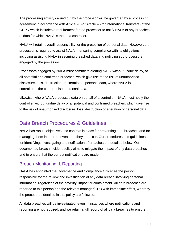The processing activity carried out by the processor will be governed by a processing agreement in accordance with Article 28 (or Article 46 for international transfers) of the GDPR which includes a requirement for the processor to notify NALA of any breaches of data for which NALA is the data controller.

NALA will retain overall responsibility for the protection of personal data. However, the processor is required to assist NALA in ensuring compliance with its obligations including assisting NALA in securing breached data and notifying sub-processors engaged by the processor.

Processors engaged by NALA must commit to alerting NALA without undue delay, of all potential and confirmed breaches, which give rise to the risk of unauthorised disclosure, loss, destruction or alteration of personal data, where NALA is the controller of the compromised personal data.

Likewise, where NALA processes data on behalf of a controller, NALA must notify the controller without undue delay of all potential and confirmed breaches, which give rise to the risk of unauthorised disclosure, loss, destruction or alteration of personal data.

# <span id="page-9-0"></span>Data Breach Procedures & Guidelines

NALA has robust objectives and controls in place for preventing data breaches and for managing them in the rare event that they do occur. Our procedures and guidelines for identifying, investigating and notification of breaches are detailed below. Our documented breach incident policy aims to mitigate the impact of any data breaches and to ensure that the correct notifications are made.

## <span id="page-9-1"></span>Breach Monitoring & Reporting

NALA has appointed the Governance and Compliance Officer as the person responsible for the review and investigation of any data breach involving personal information, regardless of the severity, impact or containment. All data breaches are reported to this person and the relevant manager/CEO with immediate effect, whereby the procedures detailed in this policy are followed.

All data breaches will be investigated, even in instances where notifications and reporting are not required, and we retain a full record of all data breaches to ensure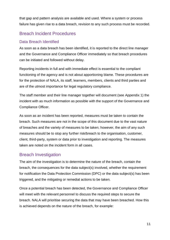that gap and pattern analysis are available and used. Where a system or process failure has given rise to a data breach, revision to any such process must be recorded.

## <span id="page-10-0"></span>Breach Incident Procedures

#### <span id="page-10-1"></span>Data Breach Identified

As soon as a data breach has been identified, it is reported to the direct line manager and the Governance and Compliance Officer immediately so that breach procedures can be initiated and followed without delay.

Reporting incidents in full and with immediate effect is essential to the compliant functioning of the agency and is not about apportioning blame. These procedures are for the protection of NALA, its staff, learners, members, clients and third parties and are of the utmost importance for legal regulatory compliance.

The staff member and their line manager together will document (see Appendix 1) the incident with as much information as possible with the support of the Governance and Compliance Officer.

As soon as an incident has been reported, measures must be taken to contain the breach. Such measures are not in the scope of this document due to the vast nature of breaches and the variety of measures to be taken; however, the aim of any such measures should be to stop any further risk/breach to the organisation, customer, client, third-party, system or data prior to investigation and reporting. The measures taken are noted on the incident form in all cases.

## <span id="page-10-2"></span>Breach Investigation

The aim of the investigation is to determine the nature of the breach, contain the breach, the consequences for the data subject(s) involved, whether the requirement for notification the Data Protection Commission (DPC) or the data subject(s) has been triggered, and the mitigating or remedial actions to be taken.

Once a potential breach has been detected, the Governance and Compliance Officer will meet with the relevant personnel to discuss the required steps to secure the breach. NALA will prioritise securing the data that may have been breached. How this is achieved depends on the nature of the breach, for example: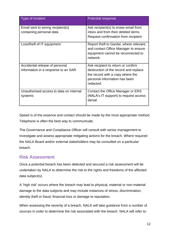| Type of incident                                                      | <b>Potential response</b>                                                                                                                                     |
|-----------------------------------------------------------------------|---------------------------------------------------------------------------------------------------------------------------------------------------------------|
| Email sent to wrong recipient(s)<br>containing personal data          | Ask recipient(s) to erase email from<br>inbox and from their deleted items.<br>Request confirmation from recipient                                            |
| Loss/theft of IT equipment                                            | Report theft to Gardaí, where relevant,<br>and contact Office Manager to ensure<br>equipment cannot be reconnected to<br>network.                             |
| Accidental release of personal<br>information in a response to an SAR | Ask recipient to return or confirm<br>destruction of the record and replace<br>the record with a copy where the<br>personal information has been<br>redacted. |
| Unauthorised access to data on internal<br>systems                    | Contact the Office Manager or ERS<br>(NALA's IT support) to request access<br>denial                                                                          |

Speed is of the essence and contact should be made by the most appropriate method. Telephone is often the best way to communicate.

The Governance and Compliance Officer will consult with senior management to investigate and assess appropriate mitigating actions for the breach. Where required the NALA Board and/or external stakeholders may be consulted on a particular breach.

## <span id="page-11-0"></span>Risk Assessment

Once a potential breach has been detected and secured a risk assessment will be undertaken by NALA to determine the risk to the rights and freedoms of the affected data subject(s).

A 'high risk' occurs where the breach may lead to physical, material or non-material damage to the data subjects and may include instances of stress, discrimination, identity theft or fraud, financial loss or damage to reputation.

When assessing the severity of a breach, NALA will take guidance from a number of sources in order to determine the risk associated with the breach. NAI A will refer to: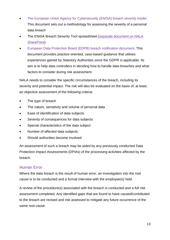- [The European Union Agency for Cybersecurity \(ENISA\)](https://www.enisa.europa.eu/publications/dbn-severity) breach severity model. This document sets out a methodology for assessing the severity of a personal data breach
- The ENISA Breach Severity Tool spreadsheet [\(separate document](https://nala.sharepoint.com/:x:/r/sites/GeneralDataProtectionRegulation/_layouts/15/Doc.aspx?sourcedoc=%7B18F96547-CFAB-435C-AFAF-50E4BA44A3A7%7D&file=ENISA%20Breach%20severity%20tool%20June%2021.xlsx&action=default&mobileredirect=true) on NALA [SharePoint\)](https://nala.sharepoint.com/:x:/r/sites/GeneralDataProtectionRegulation/_layouts/15/Doc.aspx?sourcedoc=%7B18F96547-CFAB-435C-AFAF-50E4BA44A3A7%7D&file=ENISA%20Breach%20severity%20tool%20June%2021.xlsx&action=default&mobileredirect=true)
- [European Data Protection Board \(EDPB\) breach notification document.](https://edpb.europa.eu/sites/default/files/consultation/edpb_guidelines_202101_databreachnotificationexamples_v1_en.pdf) This document provides practice-oriented, case-based guidance that utilises experiences gained by Statutory Authorities since the GDPR is applicable. Its aim is to help data controllers in deciding how to handle data breaches and what factors to consider during risk assessment.

NALA needs to consider the specific circumstances of the breach, including its severity and potential impact. The risk will also be evaluated on the basis of, at least, an objective assessment of the following criteria:

- The type of breach
- The nature, sensitivity and volume of personal data
- Ease of identification of data subjects
- Severity of consequences for data subjects
- Special characteristics of the data subject
- Number of affected data subjects
- Should authorities become involved

An assessment of such a breach may be aided by any previously conducted Data Protection Impact Assessments (DPIAs) of the processing activities affected by the breach.

#### <span id="page-12-0"></span>Human Error

Where the data breach is the result of human error, an investigation into the root cause is to be conducted and a formal interview with the employee(s) held.

A review of the procedure(s) associated with the breach is conducted and a full risk assessment completed. Any identified gaps that are found to have caused/contributed to the breach are revised and risk assessed to mitigate any future occurrence of the same root cause.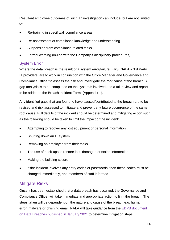Resultant employee outcomes of such an investigation can include, but are not limited to:

- Re-training in specific/all compliance areas
- Re-assessment of compliance knowledge and understanding
- Suspension from compliance related tasks
- Formal warning (in-line with the Company's disciplinary procedures)

#### <span id="page-13-0"></span>System Error

Where the data breach is the result of a system error/failure, ERS, NALA's 3rd Party IT providers, are to work in conjunction with the Office Manager and Governance and Compliance Officer to assess the risk and investigate the root cause of the breach. A gap analysis is to be completed on the system/s involved and a full review and report to be added to the Breach Incident Form. (Appendix 1).

Any identified gaps that are found to have caused/contributed to the breach are to be revised and risk assessed to mitigate and prevent any future occurrence of the same root cause. Full details of the incident should be determined and mitigating action such as the following should be taken to limit the impact of the incident:

- Attempting to recover any lost equipment or personal information
- Shutting down an IT system
- Removing an employee from their tasks
- The use of back-ups to restore lost, damaged or stolen information
- Making the building secure
- If the incident involves any entry codes or passwords, then these codes must be changed immediately, and members of staff informed

## <span id="page-13-1"></span>Mitigate Risks

Once it has been established that a data breach has occurred, the Governance and Compliance Officer will take immediate and appropriate action to limit the breach. The steps taken will be dependent on the nature and cause of the breach e.g. human error, malware or phishing email. NALA will take guidance from the [EDPB document](https://edpb.europa.eu/sites/default/files/consultation/edpb_guidelines_202101_databreachnotificationexamples_v1_en.pdf)  [on Data Breaches published in January 2021](https://edpb.europa.eu/sites/default/files/consultation/edpb_guidelines_202101_databreachnotificationexamples_v1_en.pdf) to determine mitigation steps.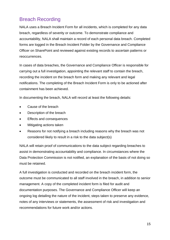# <span id="page-14-0"></span>Breach Recording

NALA uses a Breach Incident Form for all incidents, which is completed for any data breach, regardless of severity or outcome. To demonstrate compliance and accountability, NALA shall maintain a record of each personal data breach. Completed forms are logged in the Breach Incident Folder by the Governance and Compliance Officer on SharePoint and reviewed against existing records to ascertain patterns or reoccurrences.

In cases of data breaches, the Governance and Compliance Officer is responsible for carrying out a full investigation, appointing the relevant staff to contain the breach, recording the incident on the breach form and making any relevant and legal notifications. The completing of the Breach Incident Form is only to be actioned after containment has been achieved.

In documenting the breach, NALA will record at least the following details:

- Cause of the breach
- Description of the breach
- Effects and consequences
- Mitigating actions taken
- Reasons for not notifying a breach including reasons why the breach was not considered likely to result in a risk to the data subject(s)

NALA will retain proof of communications to the data subject regarding breaches to assist in demonstrating accountability and compliance. In circumstances where the Data Protection Commission is not notified, an explanation of the basis of not doing so must be retained.

A full investigation is conducted and recorded on the breach incident form, the outcome must be communicated to all staff involved in the breach, in addition to senior management. A copy of the completed incident form is filed for audit and documentation purposes. The Governance and Compliance Officer will keep an ongoing log detailing the nature of the incident, steps taken to preserve any evidence, notes of any interviews or statements, the assessment of risk and investigation and recommendations for future work and/or actions.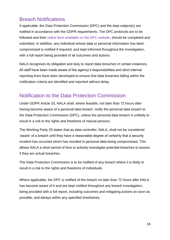# <span id="page-15-0"></span>Breach Notifications

If applicable, the Data Protection Commission (DPC) and the data subject(s) are notified in accordance with the GDPR requirements. The DPC protocols are to be followed and their [online form available on the DPC website,](https://forms.dataprotection.ie/report-a-breach-of-personal-data) should be completed and submitted. In addition, any individual whose data or personal information has been compromised is notified if required, and kept informed throughout the investigation, with a full report being provided of all outcomes and actions.

NALA recognises its obligation and duty to report data breaches in certain instances. All staff have been made aware of the agency's responsibilities and strict internal reporting lines have been developed to ensure that data breaches falling within the notification criteria are identified and reported without delay.

# <span id="page-15-1"></span>Notification to the Data Protection Commission

Under GDPR Article 33, NALA shall, where feasible, not later than 72 hours after having become aware of a personal data breach, notify the personal data breach to the Data Protection Commission (DPC), unless the personal data breach is unlikely to result in a risk to the rights and freedoms of natural persons.

The Working Party 29 states that as data controller, NALA, shall not be considered 'aware' of a breach until they have a reasonable degree of certainty that a security incident has occurred which has resulted in personal data being compromised. This allows NALA a short period of time to actively investigate potential breaches to assess if they are actual breaches.

The Data Protection Commission is to be notified of any breach where it is likely to result in a risk to the rights and freedoms of individuals.

Where applicable, the DPC is notified of the breach no later than 72 hours after NALA has become aware of it and are kept notified throughout any breach investigation, being provided with a full report, including outcomes and mitigating actions as soon as possible, and always within any specified timeframes.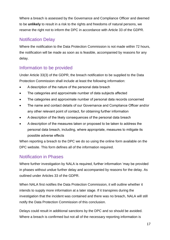Where a breach is assessed by the Governance and Compliance Officer and deemed to be **unlikely** to result in a risk to the rights and freedoms of natural persons, we reserve the right not to inform the DPC in accordance with Article 33 of the GDPR.

## <span id="page-16-0"></span>Notification Delay

Where the notification to the Data Protection Commission is not made within 72 hours, the notification will be made as soon as is feasible, accompanied by reasons for any delay.

## <span id="page-16-1"></span>Information to be provided

Under Article 33(3) of the GDPR, the breach notification to be supplied to the Data Protection Commission shall include at least the following information:

- A description of the nature of the personal data breach
- The categories and approximate number of data subjects affected
- The categories and approximate number of personal data records concerned
- The name and contact details of our Governance and Compliance Officer and/or any other relevant point of contact, for obtaining further information
- A description of the likely consequences of the personal data breach
- A description of the measures taken or proposed to be taken to address the personal data breach*,* including, where appropriate, measures to mitigate its possible adverse effects

When reporting a breach to the DPC we do so using [the online form available on the](https://forms.dataprotection.ie/report-a-breach-of-personal-data)  [DPC website.](https://forms.dataprotection.ie/report-a-breach-of-personal-data) This form defines all of the information required.

# <span id="page-16-2"></span>Notification in Phases

Where further investigation by NALA is required, further information 'may be provided in phases without undue further delay and accompanied by reasons for the delay. As outlined under Articles 33 of the GDPR.

When NALA first notifies the Data Protection Commission, it will outline whether it intends to supply more information at a later stage. If it transpires during the investigation that the incident was contained and there was no breach, NALA will still notify the Data Protection Commission of this conclusion.

Delays could result in additional sanctions by the DPC and so should be avoided. Where a breach is confirmed but not all of the necessary reporting information is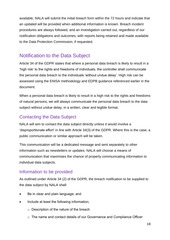available, NALA will submit the initial breach form within the 72 hours and indicate that an updated will be provided when additional information is known. Breach incident procedures are always followed, and an investigation carried out, regardless of our notification obligations and outcomes, with reports being retained and made available to the Data Protection Commission, if requested.

# <span id="page-17-0"></span>Notification to the Data Subject

Article 34 of the GDPR states that where a personal data breach is likely to result in a 'high risk' to the rights and freedoms of individuals, the controller shall communicate the personal data breach to the individuals 'without undue delay'. High risk can be assessed using the ENISA methodology and EDPB guidance referenced earlier in the document.

When a personal data breach is likely to result in a high risk to the rights and freedoms of natural persons, we will always communicate the personal data breach to the data subject without undue delay, in a written, clear and legible format.

## <span id="page-17-1"></span>Contacting the Data Subject

NALA will aim to contact the data subject directly unless it would involve a 'disproportionate effort' in line with Article 34(3) of the GDPR. Where this is the case, a public communication or similar approach will be taken.

This communication will be a dedicated message and sent separately to other information such as newsletters or updates. NALA will choose a means of communication that maximises the chance of properly communicating information to individual data subjects.

## <span id="page-17-2"></span>Information to be provided

As outlined under Article 34 (2) of the GDPR, the breach notification to be supplied to the data subject by NALA shall:

- Be in clear and plain language; and
- Include at least the following information;
	- $\circ$  Description of the nature of the breach
	- o The name and contact details of our Governance and Compliance Officer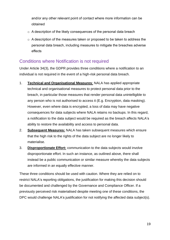and/or any other relevant point of contact where more information can be obtained

- o A description of the likely consequences of the personal data breach
- o A description of the measures taken or proposed to be taken to address the personal data breach, including measures to mitigate the breaches adverse effects

### <span id="page-18-0"></span>Conditions where Notification is not required

Under Article 34(3), the GDPR provides three conditions where a notification to an individual is not required in the event of a high-risk personal data breach.

- 1. **Technical and Organisational Measures**: NALA has applied appropriate technical and organisational measures to protect personal data prior to the breach, in particular those measures that render personal data unintelligible to any person who is not authorised to access it (E.g. Encryption, data masking). However, even where data is encrypted, a loss of data may have negative consequences for data subjects where NALA retains no backups. In this regard, a notification to the data subject would be required as the breach affects NALA's ability to restore the availability and access to personal data.
- 2. **Subsequent Measures:** NALA has taken subsequent measures which ensure that the high risk to the rights of the data subject are no longer likely to materialise.
- 3. **Disproportionate Effort:** communication to the data subjects would involve disproportionate effort. In such an instance, as outlined above, there shall instead be a public communication or similar measure whereby the data subjects are informed in an equally effective manner.

These three conditions should be used with caution. Where they are relied on to restrict NALA's reporting obligations, the justification for making this decision should be documented and challenged by the Governance and Compliance Officer. If a previously perceived risk materialised despite meeting one of these conditions, the DPC would challenge NALA's justification for not notifying the affected data subject(s).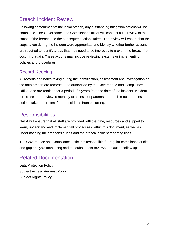# <span id="page-19-0"></span>Breach Incident Review

Following containment of the initial breach, any outstanding mitigation actions will be completed. The Governance and Compliance Officer will conduct a full review of the cause of the breach and the subsequent actions taken. The review will ensure that the steps taken during the incident were appropriate and identify whether further actions are required to identify areas that may need to be improved to prevent the breach from occurring again. These actions may include reviewing systems or implementing policies and procedures.

## <span id="page-19-1"></span>Record Keeping

All records and notes taking during the identification, assessment and investigation of the data breach are recorded and authorised by the Governance and Compliance Officer and are retained for a period of 6 years from the date of the incident. Incident forms are to be reviewed monthly to assess for patterns or breach reoccurrences and actions taken to prevent further incidents from occurring.

# <span id="page-19-2"></span>**Responsibilities**

NALA will ensure that all staff are provided with the time, resources and support to learn, understand and implement all procedures within this document, as well as understanding their responsibilities and the breach incident reporting lines.

The Governance and Compliance Officer is responsible for regular compliance audits and gap analysis monitoring and the subsequent reviews and action follow ups.

# <span id="page-19-3"></span>Related Documentation

Data Protection Policy Subject Access Request Policy Subject Rights Policy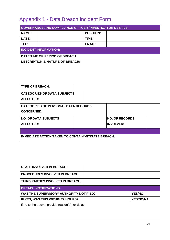# <span id="page-20-0"></span>Appendix 1 - Data Breach Incident Form

|                                                           | <b>GOVERNANCE AND COMPLIANCE OFFICER /INVESTIGATOR DETAILS:</b> |                       |                  |  |  |  |  |
|-----------------------------------------------------------|-----------------------------------------------------------------|-----------------------|------------------|--|--|--|--|
| <b>NAME:</b>                                              | <b>POSITION:</b>                                                |                       |                  |  |  |  |  |
| DATE:                                                     | TIME:                                                           |                       |                  |  |  |  |  |
| TEL:                                                      | <b>EMAIL:</b>                                                   |                       |                  |  |  |  |  |
| <b>INCIDENT INFORMATION:</b>                              |                                                                 |                       |                  |  |  |  |  |
|                                                           | DATE/TIME OR PERIOD OF BREACH:                                  |                       |                  |  |  |  |  |
| <b>DESCRIPTION &amp; NATURE OF BREACH:</b>                |                                                                 |                       |                  |  |  |  |  |
|                                                           |                                                                 |                       |                  |  |  |  |  |
|                                                           |                                                                 |                       |                  |  |  |  |  |
|                                                           |                                                                 |                       |                  |  |  |  |  |
| <b>TYPE OF BREACH:</b>                                    |                                                                 |                       |                  |  |  |  |  |
| <b>CATEGORIES OF DATA SUBJECTS</b>                        |                                                                 |                       |                  |  |  |  |  |
| <b>AFFECTED:</b>                                          |                                                                 |                       |                  |  |  |  |  |
| <b>CATEGORIES OF PERSONAL DATA RECORDS</b>                |                                                                 |                       |                  |  |  |  |  |
| <b>CONCERNED:</b>                                         |                                                                 |                       |                  |  |  |  |  |
| <b>NO. OF DATA SUBJECTS</b>                               |                                                                 | <b>NO. OF RECORDS</b> |                  |  |  |  |  |
| <b>AFFECTED:</b>                                          |                                                                 | <b>INVOLVED:</b>      |                  |  |  |  |  |
|                                                           |                                                                 |                       |                  |  |  |  |  |
|                                                           |                                                                 |                       |                  |  |  |  |  |
| <b>IMMEDIATE ACTION TAKEN TO CONTAIN/MITIGATE BREACH:</b> |                                                                 |                       |                  |  |  |  |  |
|                                                           |                                                                 |                       |                  |  |  |  |  |
|                                                           |                                                                 |                       |                  |  |  |  |  |
|                                                           |                                                                 |                       |                  |  |  |  |  |
|                                                           |                                                                 |                       |                  |  |  |  |  |
| <b>STAFF INVOLVED IN BREACH:</b>                          |                                                                 |                       |                  |  |  |  |  |
|                                                           |                                                                 |                       |                  |  |  |  |  |
| <b>PROCEDURES INVOLVED IN BREACH:</b>                     |                                                                 |                       |                  |  |  |  |  |
| THIRD PARTIES INVOLVED IN BREACH:                         |                                                                 |                       |                  |  |  |  |  |
| <b>BREACH NOTIFICATIONS:</b>                              |                                                                 |                       |                  |  |  |  |  |
| WAS THE SUPERVISORY AUTHORITY NOTIFIED?                   |                                                                 |                       | <b>YES/NO</b>    |  |  |  |  |
| IF YES, WAS THIS WITHIN 72 HOURS?                         |                                                                 |                       | <b>YES/NO/NA</b> |  |  |  |  |
| If no to the above, provide reason(s) for delay           |                                                                 |                       |                  |  |  |  |  |